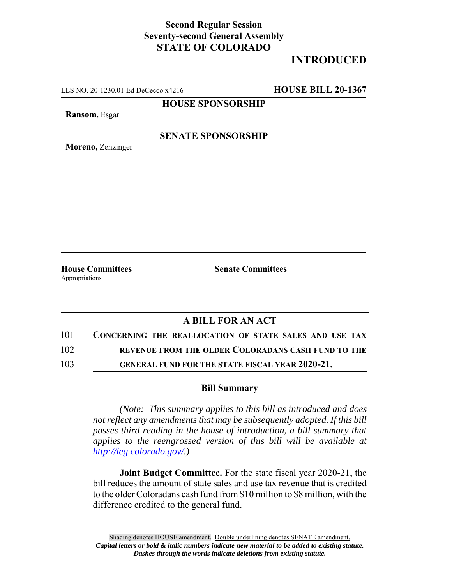## **Second Regular Session Seventy-second General Assembly STATE OF COLORADO**

# **INTRODUCED**

LLS NO. 20-1230.01 Ed DeCecco x4216 **HOUSE BILL 20-1367**

**HOUSE SPONSORSHIP**

**Ransom,** Esgar

#### **SENATE SPONSORSHIP**

**Moreno,** Zenzinger

Appropriations

**House Committees Senate Committees**

### **A BILL FOR AN ACT**

101 **CONCERNING THE REALLOCATION OF STATE SALES AND USE TAX**

102 **REVENUE FROM THE OLDER COLORADANS CASH FUND TO THE**

103 **GENERAL FUND FOR THE STATE FISCAL YEAR 2020-21.**

#### **Bill Summary**

*(Note: This summary applies to this bill as introduced and does not reflect any amendments that may be subsequently adopted. If this bill passes third reading in the house of introduction, a bill summary that applies to the reengrossed version of this bill will be available at http://leg.colorado.gov/.)*

**Joint Budget Committee.** For the state fiscal year 2020-21, the bill reduces the amount of state sales and use tax revenue that is credited to the older Coloradans cash fund from \$10 million to \$8 million, with the difference credited to the general fund.